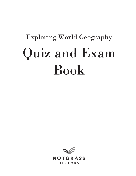# Exploring World Geography Quiz and Exam Book

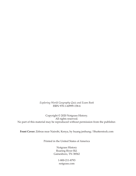#### *Exploring World Geography Quiz and Exam Book* ISBN 978-1-60999-158-6

Copyright © 2020 Notgrass History. All rights reserved. No part of this material may be reproduced without permission from the publisher.

**Front Cover:** Zebras near Nairobi, Kenya, by huang jenhung / Shutterstock.com

Printed in the United States of America

Notgrass History Roaring River Rd. Gainesboro, TN 38562

> 1-800-211-8793 notgrass.com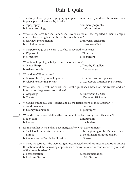# **Unit 1 Quiz**

| 1. The study of how physical geography impacts human activity and how human activity<br>impacts physical geography is called:                                                                                 |                                              |
|---------------------------------------------------------------------------------------------------------------------------------------------------------------------------------------------------------------|----------------------------------------------|
| a. topography                                                                                                                                                                                                 | c. human geography                           |
| b. human sociology                                                                                                                                                                                            | d. defenestration                            |
| 2. What is the term for the impact that every astronaut has reported of being deeply<br>affected by looking back at the earth beneath them?                                                                   |                                              |
| a. rearview phenomenon<br>b. orbital remorse                                                                                                                                                                  | c. universal enclosure<br>d. overview effect |
| 3. What percentage of the earth's surface is covered with water?                                                                                                                                              |                                              |
| a. 19 percent                                                                                                                                                                                                 | c. 71 percent                                |
| b. 47 percent                                                                                                                                                                                                 | d. 85 percent                                |
| 4. What female geologist helped map the ocean floor?                                                                                                                                                          |                                              |
| a. Marie Tharp                                                                                                                                                                                                | c. Dorothy Kilgallen                         |
| b. Arlene Francis                                                                                                                                                                                             | d. Marie Geiger                              |
| 5. What does GPS stand for?                                                                                                                                                                                   |                                              |
| a. Geographic Polynomial System                                                                                                                                                                               | c. Graphic Position Spacing                  |
| b. Global Positioning System                                                                                                                                                                                  | d. Gyroscopic Phrenology Structure           |
| 6. What was the 17-volume work that Strabo published based on his travels and on<br>information he gleaned from others?                                                                                       |                                              |
| a. Geography                                                                                                                                                                                                  | c. Report from the Road                      |
| b. Travels                                                                                                                                                                                                    | d. The World We Live In                      |
| 7. What did Strabo say was "essential to all the transactions of the statesman"?                                                                                                                              |                                              |
| a. good manners                                                                                                                                                                                               | c. passport                                  |
| b. fluency in language                                                                                                                                                                                        | d. geography                                 |
| 8. What did Strabo say "defines the contours of the land and gives it its shape"?                                                                                                                             |                                              |
| a. rock cliffs                                                                                                                                                                                                | c. mountains                                 |
| b. the sea                                                                                                                                                                                                    | d. the horizon                               |
| 9. Ethnic conflict in the Balkans reemerged after what development?                                                                                                                                           |                                              |
| a. the fall of Communism in Eastern                                                                                                                                                                           | c. the beginning of the Marshall Plan        |
| Europe                                                                                                                                                                                                        | d. the division of Macedonia by              |
| b. the invasion of Serbia by Slovakia                                                                                                                                                                         | Greece                                       |
| 10. What is the term for "the increasing interconnectedness of production and trade among<br>the nations and the increasing dependence of many nations on economic activity outside<br>of their own borders"? |                                              |
| a. defenestration                                                                                                                                                                                             | c. consequentiation                          |
| b. hydro-utilization                                                                                                                                                                                          | d. globalization                             |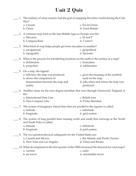## **Unit 2 Quiz**

| 1. The military of what country had the goal of mapping the entire world during the Cold<br>War?                      |                                     |
|-----------------------------------------------------------------------------------------------------------------------|-------------------------------------|
| a. Canada                                                                                                             | c. Soviet Union                     |
| b. China                                                                                                              | d. Great Britain                    |
| 2. A common map form in the late Middle Ages in Europe was the:                                                       |                                     |
| a. Mercator                                                                                                           | c. M and P                          |
| b. Compass Rose                                                                                                       | d. T and O                          |
| 3. What kind of map helps people get from one place to another?                                                       |                                     |
| a. navigational                                                                                                       | c. geopolitical                     |
| b. topograhic                                                                                                         | d. thematic                         |
| 4. What is the process for transferring locations on the earth to the surface of a map?                               |                                     |
| a. delineation                                                                                                        | c. truncation                       |
| b. projection                                                                                                         | d. sublimation                      |
| 5. On a map, the legend:                                                                                              |                                     |
| a. tells how the map was produced.                                                                                    | c. gives the meaning of the symbols |
| b. shows the comparison of                                                                                            | used on the map.                    |
| measurement between the map and                                                                                       | d. tells when and where the map was |
| reality.                                                                                                              | produced.                           |
| 6. Another name for the zero degree meridian that runs through Greenwich, England, is<br>the:                         |                                     |
| a. International Date Line                                                                                            | c. British Line                     |
| b. Zero Compass Line                                                                                                  | d. Prime Meridian                   |
| The system of imaginary lateral lines that are parallel to the equator is called:                                     |                                     |
| a. latitude                                                                                                           | c. infinitude                       |
| b. longitude                                                                                                          | d. grid system                      |
| 8. The system of long parallel lines running north and south that converge at the North<br>and South Poles is called: |                                     |
| a. latitude                                                                                                           | c. infinitude                       |
| b. longitude                                                                                                          | d. grid system                      |
| 9. The two greatest physical safeguards for the United States are:                                                    |                                     |
| a. Canada and Mexico                                                                                                  | c. the Atlantic and Pacific Oceans  |
| b. New York and Los Angeles                                                                                           | d. China and Russia                 |
| 10. What development in the first quarter of the 1900s increased the demand for road maps?                            |                                     |
| a. warfare                                                                                                            | c. radio                            |
| b. air travel                                                                                                         | d. automobile travel                |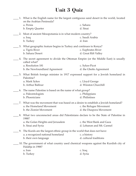# **Unit 3 Quiz**

|    | 1. What is the English name for the largest contiguous sand desert in the world, located<br>on the Arabian Peninsula? |                            |
|----|-----------------------------------------------------------------------------------------------------------------------|----------------------------|
|    | a. Persia                                                                                                             | c. Sahara                  |
|    | b. Empty Quarter                                                                                                      | d. Sinai                   |
|    |                                                                                                                       |                            |
|    | 2. Most of ancient Mesopotamia is in what modern country?                                                             |                            |
|    | a. Iraq<br>b. Turkey                                                                                                  | c. Saudi Arabia<br>d. Iran |
|    |                                                                                                                       |                            |
|    | 3. What geographic feature begins in Turkey and continues to Kenya?                                                   |                            |
|    | a. Tigris River                                                                                                       | c. Euphrates River         |
|    | b. Sahara Desert                                                                                                      | d. Great Rift Valley       |
|    | 4. The secret agreement to divide the Ottoman Empire (or the Middle East) is usually<br>called what?                  |                            |
|    | a. Resolution 181                                                                                                     | c. Sykes-Picot             |
|    | b. the Newfoundland Agreement                                                                                         | d. the Ghetto Agreement    |
|    | 5. What British foreign minister in 1917 expressed support for a Jewish homeland in<br>Palestine?                     |                            |
|    | a. Mark Sykes                                                                                                         | c. Lloyd George            |
|    | b. Arthur Balfour                                                                                                     | d. Winston Churchill       |
| 6. | The name Palestine is based on the name of what group?                                                                |                            |
|    | a. Paleontologists                                                                                                    | c. Philippians             |
|    | b. Phoenicians                                                                                                        | d. Philistines             |
|    |                                                                                                                       |                            |
|    | 7. What was the movement that was based on a desire to establish a Jewish homeland?                                   |                            |
|    | a. the Homeland Movement                                                                                              | c. the Refugee Movement    |
|    | b. the Zionist Movement                                                                                               | d. the Diaspora Movement   |
|    | 8. What two unconnected areas did Palestinians declare to be the State of Palestine in<br>1988?                       |                            |
|    | a. the Golan Heights and Jerusalem                                                                                    | c. the West Bank and Gaza  |
|    | b. Sinai and Syria                                                                                                    | d. Lebanon and Mt. Carmel  |
|    | 9. The Kurds are the largest ethnic group in the world that does not have:                                            |                            |
|    | a. a recognized national homeland                                                                                     | c. a history               |
|    | b. their own language                                                                                                 | d. cultural traditions     |
|    | 10. The government of what country used chemical weapons against the Kurdish city of                                  |                            |
|    | Halabja in 1988?<br>a. Iran                                                                                           | c. Iraq                    |
|    | b. Turkey                                                                                                             | d. Syria                   |
|    |                                                                                                                       |                            |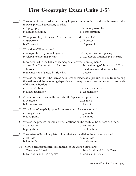### **First Geography Exam (Units 1-5)**

|    | 1. The study of how physical geography impacts human activity and how human activity<br>impacts physical geography is called:<br>a. topography<br>b. human sociology                                                                                   | c. human geography<br>d. defenestration                                            |
|----|--------------------------------------------------------------------------------------------------------------------------------------------------------------------------------------------------------------------------------------------------------|------------------------------------------------------------------------------------|
|    | 2. What percentage of the earth's surface is covered with water?<br>a. 19 percent<br>b. 47 percent                                                                                                                                                     | c. 71 percent<br>d. 85 percent                                                     |
|    | 3. What does GPS stand for?<br>a. Geographic Polynomial System<br>b. Global Positioning System                                                                                                                                                         | c. Graphic Position Spacing<br>d. Gyroscopic Phrenology Structure                  |
| 4. | Ethnic conflict in the Balkans reemerged after what development?<br>a. the fall of Communism in Eastern<br>Europe<br>b. the invasion of Serbia by Slovakia                                                                                             | c. the beginning of the Marshall Plan<br>d. the division of Macedonia by<br>Greece |
| 5. | What is the term for "the increasing interconnectedness of production and trade among<br>the nations and the increasing dependence of many nations on economic activity outside<br>of their own borders"?<br>a. defenestration<br>b. hydro-utilization | c. consequentiation<br>d. globalization                                            |
|    | 6. A common map form in the late Middle Ages in Europe was the:<br>a. Mercator<br>b. Compass Rose                                                                                                                                                      | c. M and P<br>d. T and O                                                           |
|    | 7. What kind of map helps people get from one place to another?<br>a. navigational<br>b. topograhic                                                                                                                                                    | c. geopolitical<br>d. thematic                                                     |
|    | 8. What is the process for transferring locations on the earth to the surface of a map?<br>a. delineation<br>b. projection                                                                                                                             | c. truncation<br>d. sublimation                                                    |
| 9. | The system of imaginary lateral lines that are parallel to the equator is called:<br>a. latitude<br>b. longitude                                                                                                                                       | c. infinitude<br>d. grid system                                                    |
|    | 10. The two greatest physical safeguards for the United States are:<br>a. Canada and Mexico<br>b. New York and Los Angeles                                                                                                                             | c. the Atlantic and Pacific Oceans<br>d. China and Russia                          |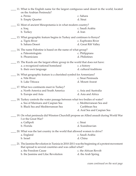| 11. What is the English name for the largest contiguous sand desert in the world, located<br>on the Arabian Peninsula?<br>c. Sahara<br>a. Persia                                                                   |                                                                          |
|--------------------------------------------------------------------------------------------------------------------------------------------------------------------------------------------------------------------|--------------------------------------------------------------------------|
| b. Empty Quarter                                                                                                                                                                                                   | d. Sinai                                                                 |
| 12. Most of ancient Mesopotamia is in what modern country?<br>a. Iraq<br>b. Turkey                                                                                                                                 | c. Saudi Arabia<br>d. Iran                                               |
| 13. What geographic feature begins in Turkey and continues to Kenya?<br>a. Tigris River<br>b. Sahara Desert                                                                                                        | c. Euphrates River<br>d. Great Rift Valley                               |
| 14. The name Palestine is based on the name of what group?<br>a. Paleontologists<br>b. Phoenicians                                                                                                                 | c. Philippians<br>d. Philistines                                         |
| 15. The Kurds are the largest ethnic group in the world that does not have:<br>a. a recognized national homeland<br>b. their own language                                                                          | c. a history<br>d. cultural traditions                                   |
| 16. What geographic feature is a cherished symbol for Armenians?<br>a. Nile River<br>b. Lake Titicaca                                                                                                              | c. Sinai Peninsula<br>d. Mount Ararat                                    |
| 17. What two continents meet in Turkey?<br>a. North America and South America<br>b. Europe and Asia                                                                                                                | c. Asia and Australia<br>d. Asia and Africa                              |
| 18. Turkey controls the water passage between what two bodies of water?<br>a. Sea of Marmara and Caspian Sea<br>b. Black Sea and Mediterranean Sea                                                                 | c. Mediterranean Sea and<br>Caribbean Sea<br>d. Aral Sea and Caspian Sea |
| 19. On what peninsula did Winston Churchill propose an Allied assault during World War<br>I or the Great War?<br>a. Gallipoli                                                                                      | c. Sinai                                                                 |
| b. Florida                                                                                                                                                                                                         | d. Scandinavian                                                          |
| 20. What was the last country in the world that allowed women to drive?<br>a. England<br>b. Israel                                                                                                                 | c. Saudi Arabia<br>d. China                                              |
| 21. The Jasmine Revolution in Tunisia in 2010-2011 was the beginning of a protest movement<br>that spread to several countries and was called what?<br>a. the Freedom Cause<br>b. the Jasmine and Lilac Revolution | c. the African Revolt<br>d. the Arab Spring                              |

*exam continued on the next page*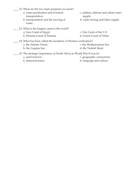- \_\_\_\_ 22. What are the two main purposes of canals?
	- a. water purification and livestock transportation
	- b. transportation and the moving of water
- \_\_\_\_ 23. What is the longest canal in the world? a. Suez Canal of Egypt
	- b. Panama Canal of Panama
- c. military defense and urban water supply
- d. water mixing and labor supply
- c. Erie Canal of the U.S.
- d. Grand Canal of China
- \_24. What has been called the incubator of Western civilization?
	- a. the Atlantic Ocean
	- b. the Caspian Sea
- c. the Mediterranean Sea
- d. the Turkish Strait
- \_\_\_\_ 25. The strategic importance of North Africa in World War II was its:
	- a. sand reserves
	- b. diamond mines
- c. geographic connections
- d. language and culture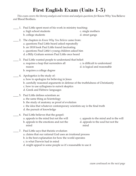#### **First English Exam (Units 1-5)**

*This exam covers the literary analysis and review and analysis questions for* Know Why You Believe *and* Blood Brothers*.*

| 1. Paul Little spent most of his work in ministry teaching:                                                                   |                                            |
|-------------------------------------------------------------------------------------------------------------------------------|--------------------------------------------|
| a. high school students                                                                                                       | c. single mothers                          |
| b. college students                                                                                                           | d. street gangs                            |
| 2. The chapters in Know Why You Believe came from:                                                                            |                                            |
| a. questions Paul Little heard asked repeatedly                                                                               |                                            |
| b. an 1818 book Paul Little found fascinating<br>c. questions Paul Little's young children asked him                          |                                            |
| d. a Billy Graham sermon Paul Little once heard                                                                               |                                            |
| 3. Paul Little wanted people to understand that belief:                                                                       |                                            |
| a. requires a leap that surrenders all                                                                                        | c. is difficult to understand              |
| reason                                                                                                                        | d. is logical and reasonable               |
| b. requires a college degree                                                                                                  |                                            |
| 4. Apologetics is the study of:                                                                                               |                                            |
| a. how to apologize for believing in Jesus                                                                                    |                                            |
| b. carefully reasoned arguments in defense of the truthfulness of Christianity<br>c. how to use syllogisms to outwit skeptics |                                            |
| d. Greek and Hebrew languages                                                                                                 |                                            |
| 5. Paul Little defines scientism as:                                                                                          |                                            |
| a. the same thing as Scientology                                                                                              |                                            |
| b. the study of anatomy as proof of evolution                                                                                 |                                            |
| c. the idea that whatever contemporary scientists say is the final truth                                                      |                                            |
| d. the pursuit of knowledge                                                                                                   |                                            |
| 6. Paul Little believes that the gospel:                                                                                      |                                            |
| a. appeals to the mind but not the will                                                                                       | c. appeals to the mind and to the will     |
| b. appeals to the emotions and not the<br>mind                                                                                | d. appeals to the soul but not the<br>mind |
| 7. Paul Little says that theistic evolution                                                                                   |                                            |
| a. claims that our rational God uses an irrational process                                                                    |                                            |
| b. is the best explanation for how the world operates                                                                         |                                            |
| c. is what Darwin had in mind                                                                                                 |                                            |
| d. might appeal to some people so it's reasonable to use it                                                                   |                                            |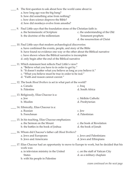|    | 8. The first question to ask about how the world came about is:<br>a. how long ago was the big bang?<br>b. how did something arise from nothing?<br>c. how does science disprove the Bible?<br>d. how did monkeys evolve from amoeba?                                                                                            |                                                                                               |
|----|----------------------------------------------------------------------------------------------------------------------------------------------------------------------------------------------------------------------------------------------------------------------------------------------------------------------------------|-----------------------------------------------------------------------------------------------|
| 9. | Paul Little says that the foundation stone of the Christian faith is:<br>a. the hermeneutic of Scripture<br>b. the doctrine of the millennium                                                                                                                                                                                    | c. the understanding of the Old<br><b>Testament prophets</b><br>d. the resurrection of Christ |
|    | 10. Paul Little says that modern archaeological discoveries:<br>a. have confirmed the events, people, and story of the Bible<br>b. have found no evidence one way or the other about the Biblical narrative<br>c. have shown where the Biblical narrative is incomplete<br>d. only begin after the end of the Biblical narrative |                                                                                               |
|    | 11. Which statement best reflects Paul Little's view?<br>a. "Believe what you have to in order to get by."<br>b. "It doesn't matter what you believe as long as you believe it."<br>c. "What you believe must be true in order to be real."<br>d. "Faith and reason cannot coexist."                                             |                                                                                               |
|    | 12. The book <i>Blood Brothers</i> is set in what part of the world?<br>a. Canada<br>b. Palestine                                                                                                                                                                                                                                | c. Iraq<br>d. South Africa                                                                    |
|    | 13. Religiously, Elias Chacour is a:<br>a. Jew<br>b. Muslim                                                                                                                                                                                                                                                                      | c. Melkite Catholic<br>d. Presbyterian                                                        |
|    | 14. Ethnically, Elias Chacour is a:<br>a. Russian<br>b. Frenchman                                                                                                                                                                                                                                                                | c. Jew<br>d. Palestinian                                                                      |
|    | 15. In his teaching, Elias Chacour emphasizes:<br>a. the Sermon on the Mount<br>b. the battles in the book of Joshua                                                                                                                                                                                                             | c. the book of Revelation<br>d. the book of Jonah                                             |
|    | 16. Whom did Chacour's father call Blood Brothers?<br>a. Jews and Europeans<br>b. Jews and Americans                                                                                                                                                                                                                             | c. Jews and Palestinians<br>d. Jews and Ethiopians                                            |
|    | 17. Elias Chacour had an opportunity to move to Europe to work, but he decided that his<br>work was:<br>a. in television ministry in the United<br><b>States</b><br>b. with his people in Palestine                                                                                                                              | c. on the staff of Vatican City<br>d. as a military chaplain                                  |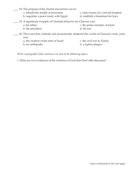| 18. The purpose of the Zionist movement was to:                                                   |                                      |
|---------------------------------------------------------------------------------------------------|--------------------------------------|
| a. rebuild the temple in Jerusalem                                                                | c. raise money for a Jewish hospital |
| b. negotiate a peace treaty with Egypt                                                            | d. establish a homeland for Jews     |
| 19. A significant example of Christian behavior for Chacour was:                                  |                                      |
| a. his father                                                                                     | c. the prime minister of Israel      |
| b. the president                                                                                  | d. his son                           |
| 20. The event that violently and permanently shattered the world of Chacour's early years<br>was: |                                      |
| a. the creation of the state of Israel                                                            | c. the civil war in Turkey           |
| b. an earthquake                                                                                  | d. a typhus plague                   |
|                                                                                                   |                                      |

*Write a paragraph of five sentences on each of the following topics.*

1. What are two evidences of the existence of God that Paul Little discusses?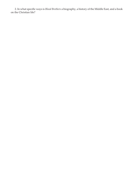2. In what specific ways is *Blood Brothers* a biography, a history of the Middle East, and a book on the Christian life?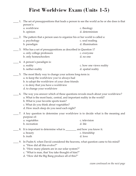#### **First Worldview Exam (Units 1-5)**

- \_\_\_\_ 1. The set of presuppositions that leads a person to see the world as he or she does is that person's:
	- a. worldview b. opinion c. theology d. determinism
- \_\_\_\_ 2. The pattern that a person uses to organize his or her world is called a: a. psychology b. paradigm c. soul reading d. illumination
- \_\_\_\_ 3. Who has a set of presuppositions as described in Question 1? a. only college professors b. only homeschoolers c. everyone d. no one
- \_\_\_\_ 4. A person's paradigm is: a. reality b. nether-reality c. how one views reality d. spatial reality
- \_\_\_\_ 5. The most likely way to change your actions long-term is:
	- a. to keep the worldview you've always had
	- b. to adopt the worldview of your close friends
	- c. to deny that you have a worldview
	- d. to change your worldview
- \_\_\_\_ 6. The way you answer which of these questions reveals much about your worldview? a. What is the most basic, central, and important reality in the world?
	- b. What is your favorite sports team?
	- c. What do you think about vegetables?
	- d. How much sleep do you need each night?
- \_\_\_\_ 7. A key question to determine your worldview is to decide what is the meaning and purpose of:
	- a. vegetables b. recreation c. television d. life
- \_\_\_\_ 8. It is important to determine what is \_\_\_\_\_\_\_\_ and how you know it.
	- a. beauty c. friendship
		- b. truth
- \_\_\_\_ 9. In Psalm 8, when David considered the heavens, what question came to his mind? a. "How did all this evolve?"

d. love

- b. "How many planets are in our solar system?"
- c. "What is man, that You take thought of him?"
- d. "How did the Big Bang produce all of this?"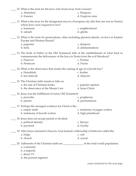| 10. What is the term for the Jews who lived away from Canaan?                                                                                                                                       |                                       |  |
|-----------------------------------------------------------------------------------------------------------------------------------------------------------------------------------------------------|---------------------------------------|--|
| a. Absentees                                                                                                                                                                                        | c. Diaspora                           |  |
| b. Essenes                                                                                                                                                                                          | d. Forgiven ones                      |  |
| 11. What is the term for the designated area in a European city (the first one was in Venice)<br>where Jews were required to live?                                                                  |                                       |  |
| a. tenement                                                                                                                                                                                         | c. neighborhood                       |  |
| b. suburb                                                                                                                                                                                           | d. ghetto                             |  |
| 12. What is the term for persecutions, often including physical attacks, on Jews in Eastern<br>Europe and Western Russia?                                                                           |                                       |  |
| a. pogroms                                                                                                                                                                                          | c. diaspora                           |  |
| b. helix                                                                                                                                                                                            | d. defenestrations                    |  |
| 13. The book of Esther in the Old Testament tells of the establishment of what feast to<br>commemorate the deliverance of the Jews in Persia from the evil Mordecai?<br>a. Passover<br>b. Pentecost | c. Puritan<br>d. Purim                |  |
| 14. What is the observance that marks the coming of age of a Jewish boy?                                                                                                                            |                                       |  |
| a. Hanukkah                                                                                                                                                                                         | c. kosher                             |  |
| b. bar mitzvah                                                                                                                                                                                      | d. lehayim                            |  |
|                                                                                                                                                                                                     |                                       |  |
| 15. The Christian faith stands or falls on:                                                                                                                                                         |                                       |  |
| a. the sale of Christian books<br>b. the observance of the Mosaic Law                                                                                                                               | c. popular opinion<br>d. Jesus Christ |  |
|                                                                                                                                                                                                     |                                       |  |
| 16. Jesus was the fulfillment of many Old Testament:                                                                                                                                                |                                       |  |
| a. proverbs                                                                                                                                                                                         | c. prophecies                         |  |
| b. priests                                                                                                                                                                                          | d. permutations                       |  |
| 17. Perhaps the strongest evidence for Christ is the:                                                                                                                                               |                                       |  |
| a. empty tomb                                                                                                                                                                                       | c. testimony of pagan writers         |  |
| b. testimony of Jewish writers                                                                                                                                                                      | d. high priesthood                    |  |
| 18. Jesus does not accept partial or divided:                                                                                                                                                       |                                       |  |
| a. political identity                                                                                                                                                                               | c. literacy                           |  |
| b. payment                                                                                                                                                                                          | d. loyalty                            |  |
| 19. After Jesus returned to heaven, God formed a fellowship of believers called the:                                                                                                                |                                       |  |
| a. lodge                                                                                                                                                                                            | c. cult                               |  |
| b. church                                                                                                                                                                                           | d. synod                              |  |
|                                                                                                                                                                                                     |                                       |  |
| 20. Adherents of the Christian faith are ___________________ of the total world population.<br>a. a minority<br>b. a majority<br>c. about 1%<br>d. the poorest segment                              |                                       |  |
|                                                                                                                                                                                                     |                                       |  |